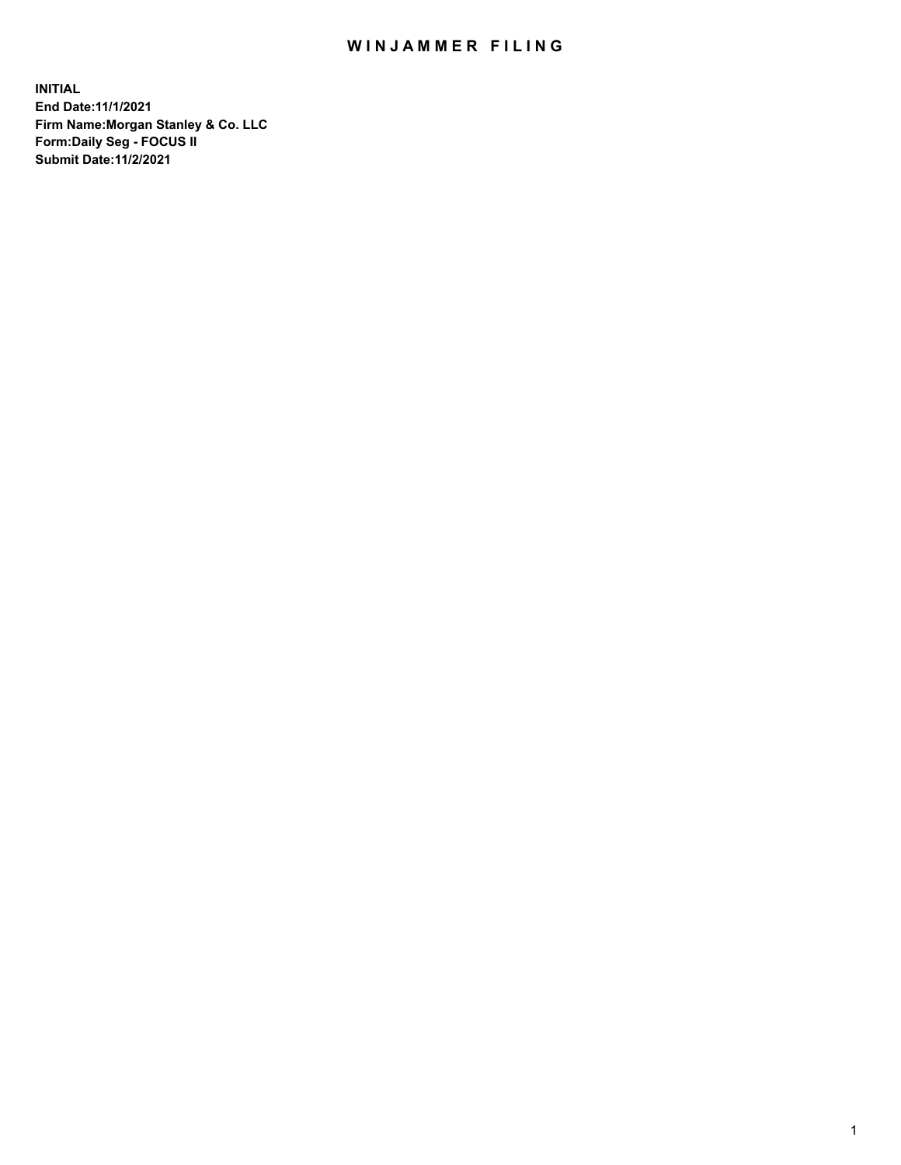## WIN JAMMER FILING

**INITIAL End Date:11/1/2021 Firm Name:Morgan Stanley & Co. LLC Form:Daily Seg - FOCUS II Submit Date:11/2/2021**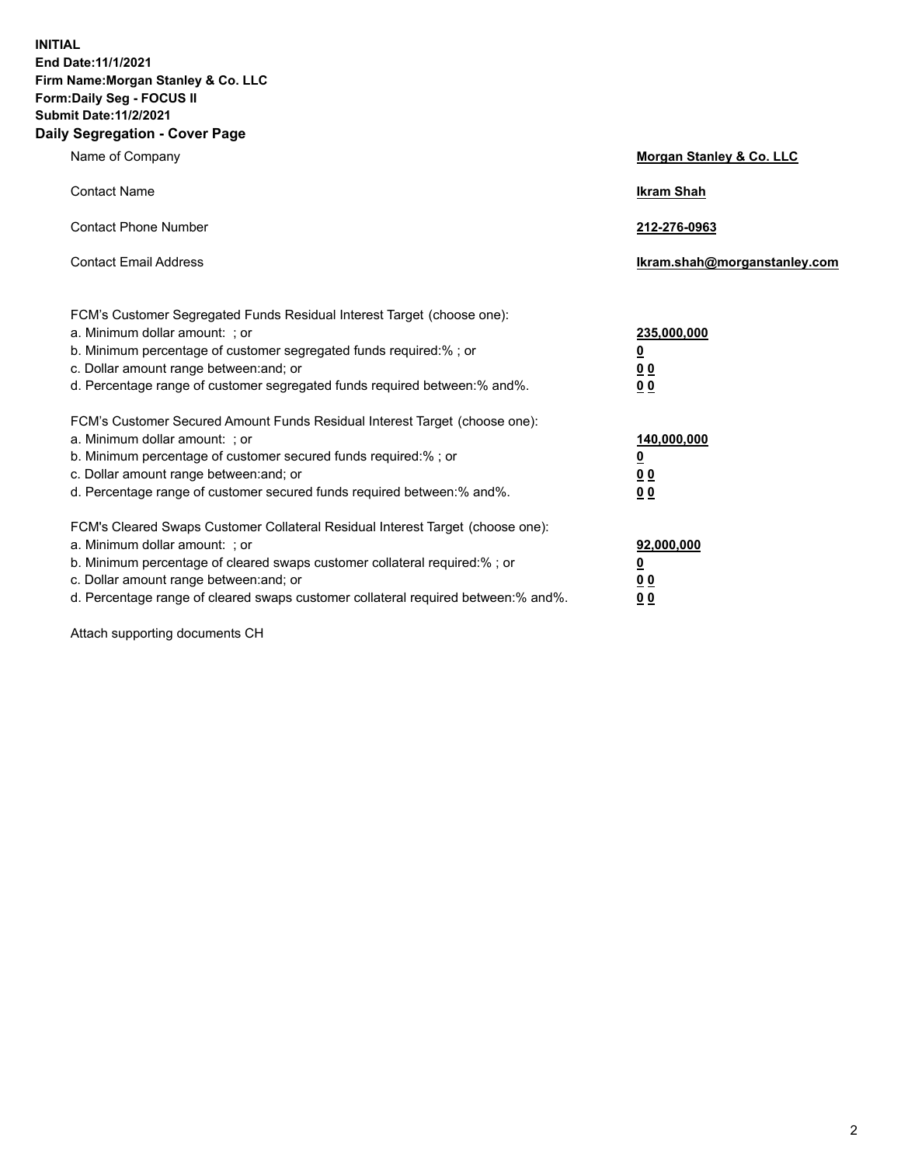**INITIAL End Date:11/1/2021 Firm Name:Morgan Stanley & Co. LLC Form:Daily Seg - FOCUS II Submit Date:11/2/2021 Daily Segregation - Cover Page**

| Name of Company                                                                                                                                                                                                                                                                                                                | <b>Morgan Stanley &amp; Co. LLC</b>                    |
|--------------------------------------------------------------------------------------------------------------------------------------------------------------------------------------------------------------------------------------------------------------------------------------------------------------------------------|--------------------------------------------------------|
| <b>Contact Name</b>                                                                                                                                                                                                                                                                                                            | <b>Ikram Shah</b>                                      |
| <b>Contact Phone Number</b>                                                                                                                                                                                                                                                                                                    | 212-276-0963                                           |
| <b>Contact Email Address</b>                                                                                                                                                                                                                                                                                                   | Ikram.shah@morganstanley.com                           |
| FCM's Customer Segregated Funds Residual Interest Target (choose one):<br>a. Minimum dollar amount: ; or<br>b. Minimum percentage of customer segregated funds required:% ; or<br>c. Dollar amount range between: and; or<br>d. Percentage range of customer segregated funds required between:% and%.                         | 235,000,000<br><u>0</u><br>0 Q<br>0 Q                  |
| FCM's Customer Secured Amount Funds Residual Interest Target (choose one):<br>a. Minimum dollar amount: ; or<br>b. Minimum percentage of customer secured funds required:% ; or<br>c. Dollar amount range between: and; or<br>d. Percentage range of customer secured funds required between: % and %.                         | 140,000,000<br><u>0</u><br><u>00</u><br>0 <sub>0</sub> |
| FCM's Cleared Swaps Customer Collateral Residual Interest Target (choose one):<br>a. Minimum dollar amount: ; or<br>b. Minimum percentage of cleared swaps customer collateral required:% ; or<br>c. Dollar amount range between: and; or<br>d. Percentage range of cleared swaps customer collateral required between:% and%. | 92,000,000<br><u>0</u><br>0 Q<br>00                    |

Attach supporting documents CH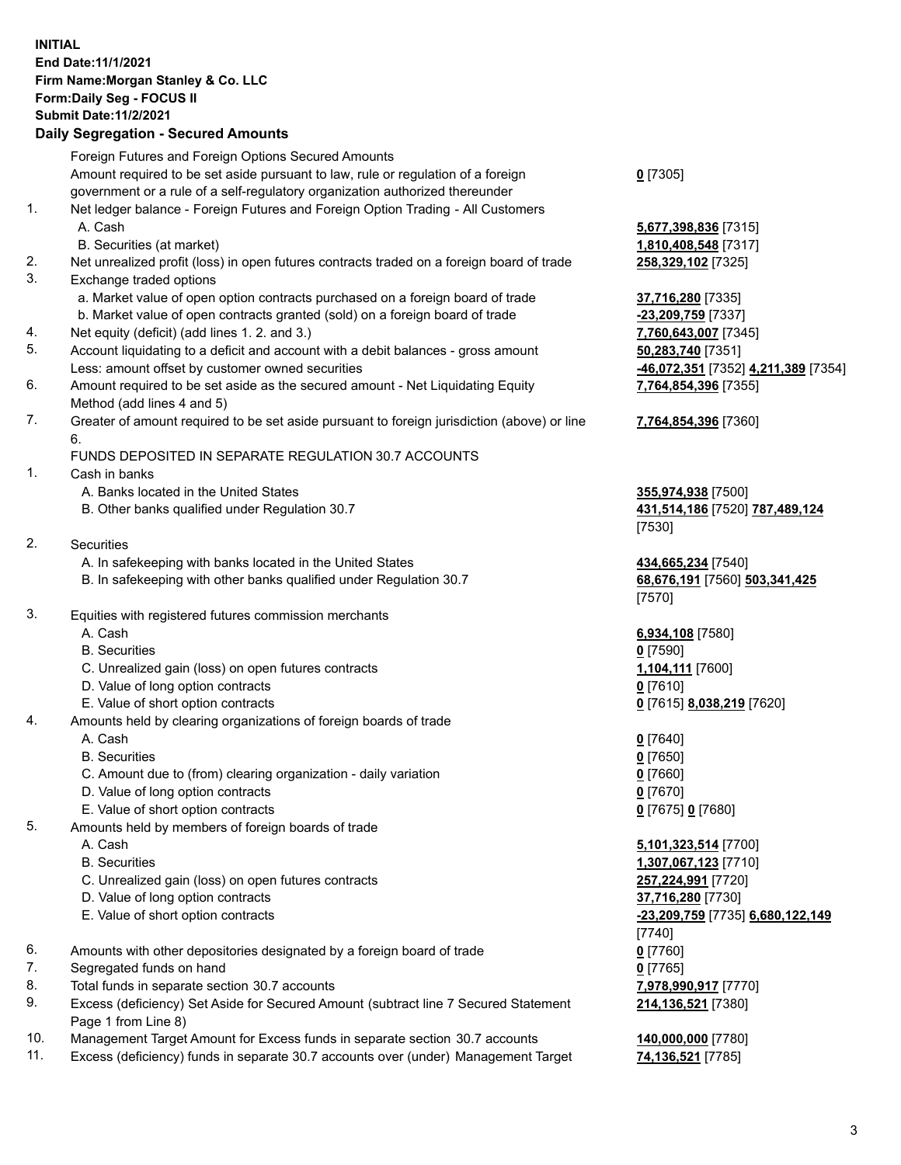## **INITIAL End Date:11/1/2021 Firm Name:Morgan Stanley & Co. LLC Form:Daily Seg - FOCUS II Submit Date:11/2/2021**

**Daily Segregation - Secured Amounts** Foreign Futures and Foreign Options Secured Amounts Amount required to be set aside pursuant to law, rule or regulation of a foreign government or a rule of a self-regulatory organization authorized thereunder 1. Net ledger balance - Foreign Futures and Foreign Option Trading - All Customers A. Cash **5,677,398,836** [7315] B. Securities (at market) **1,810,408,548** [7317] 2. Net unrealized profit (loss) in open futures contracts traded on a foreign board of trade **258,329,102** [7325] 3. Exchange traded options a. Market value of open option contracts purchased on a foreign board of trade **37,716,280** [7335] b. Market value of open contracts granted (sold) on a foreign board of trade **-23,209,759** [7337] 4. Net equity (deficit) (add lines 1. 2. and 3.) **7,760,643,007** [7345] 5. Account liquidating to a deficit and account with a debit balances - gross amount **50,283,740** [7351] Less: amount offset by customer owned securities **-46,072,351** [7352] **4,211,389** [7354] 6. Amount required to be set aside as the secured amount - Net Liquidating Equity Method (add lines 4 and 5) 7. Greater of amount required to be set aside pursuant to foreign jurisdiction (above) or line 6. FUNDS DEPOSITED IN SEPARATE REGULATION 30.7 ACCOUNTS 1. Cash in banks A. Banks located in the United States **355,974,938** [7500] B. Other banks qualified under Regulation 30.7 **431,514,186** [7520] **787,489,124**

2. Securities

- A. In safekeeping with banks located in the United States **434,665,234** [7540]
- B. In safekeeping with other banks qualified under Regulation 30.7 **68,676,191** [7560] **503,341,425**
- 3. Equities with registered futures commission merchants
	-
	- B. Securities **0** [7590]
	- C. Unrealized gain (loss) on open futures contracts **1,104,111** [7600]
	- D. Value of long option contracts **0** [7610]
	- E. Value of short option contracts **0** [7615] **8,038,219** [7620]
- 4. Amounts held by clearing organizations of foreign boards of trade
	- A. Cash **0** [7640]
	- B. Securities **0** [7650]
	- C. Amount due to (from) clearing organization daily variation **0** [7660]
	- D. Value of long option contracts **0** [7670]
	- E. Value of short option contracts **0** [7675] **0** [7680]
- 5. Amounts held by members of foreign boards of trade
	-
	-
	- C. Unrealized gain (loss) on open futures contracts **257,224,991** [7720]
	- D. Value of long option contracts **37,716,280** [7730]
	-
- 6. Amounts with other depositories designated by a foreign board of trade **0** [7760]
- 7. Segregated funds on hand **0** [7765]
- 8. Total funds in separate section 30.7 accounts **7,978,990,917** [7770]
- 9. Excess (deficiency) Set Aside for Secured Amount (subtract line 7 Secured Statement Page 1 from Line 8)
- 10. Management Target Amount for Excess funds in separate section 30.7 accounts **140,000,000** [7780]
- 11. Excess (deficiency) funds in separate 30.7 accounts over (under) Management Target **74,136,521** [7785]

**0** [7305]

**7,764,854,396** [7355]

## **7,764,854,396** [7360]

[7530]

[7570]

A. Cash **6,934,108** [7580]

 A. Cash **5,101,323,514** [7700] B. Securities **1,307,067,123** [7710] E. Value of short option contracts **-23,209,759** [7735] **6,680,122,149** [7740] **214,136,521** [7380]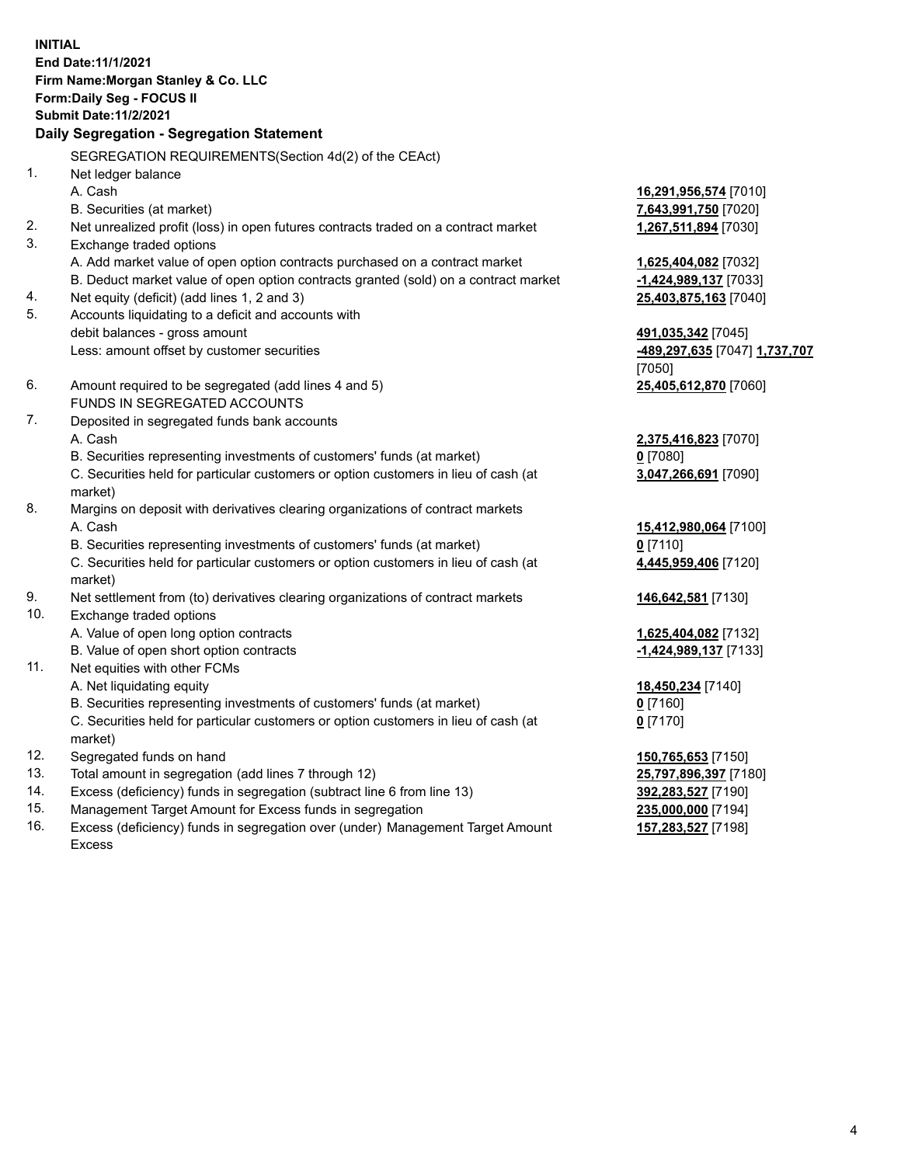**INITIAL End Date:11/1/2021 Firm Name:Morgan Stanley & Co. LLC Form:Daily Seg - FOCUS II Submit Date:11/2/2021 Daily Segregation - Segregation Statement** SEGREGATION REQUIREMENTS(Section 4d(2) of the CEAct) 1. Net ledger balance A. Cash **16,291,956,574** [7010] B. Securities (at market) **7,643,991,750** [7020] 2. Net unrealized profit (loss) in open futures contracts traded on a contract market **1,267,511,894** [7030] 3. Exchange traded options A. Add market value of open option contracts purchased on a contract market **1,625,404,082** [7032] B. Deduct market value of open option contracts granted (sold) on a contract market **-1,424,989,137** [7033] 4. Net equity (deficit) (add lines 1, 2 and 3) **25,403,875,163** [7040] 5. Accounts liquidating to a deficit and accounts with debit balances - gross amount **491,035,342** [7045] Less: amount offset by customer securities **-489,297,635** [7047] **1,737,707** [7050] 6. Amount required to be segregated (add lines 4 and 5) **25,405,612,870** [7060] FUNDS IN SEGREGATED ACCOUNTS 7. Deposited in segregated funds bank accounts A. Cash **2,375,416,823** [7070] B. Securities representing investments of customers' funds (at market) **0** [7080] C. Securities held for particular customers or option customers in lieu of cash (at market) **3,047,266,691** [7090] 8. Margins on deposit with derivatives clearing organizations of contract markets A. Cash **15,412,980,064** [7100] B. Securities representing investments of customers' funds (at market) **0** [7110] C. Securities held for particular customers or option customers in lieu of cash (at market) **4,445,959,406** [7120] 9. Net settlement from (to) derivatives clearing organizations of contract markets **146,642,581** [7130] 10. Exchange traded options A. Value of open long option contracts **1,625,404,082** [7132] B. Value of open short option contracts **-1,424,989,137** [7133] 11. Net equities with other FCMs A. Net liquidating equity **18,450,234** [7140] B. Securities representing investments of customers' funds (at market) **0** [7160] C. Securities held for particular customers or option customers in lieu of cash (at market) **0** [7170] 12. Segregated funds on hand **150,765,653** [7150] 13. Total amount in segregation (add lines 7 through 12) **25,797,896,397** [7180] 14. Excess (deficiency) funds in segregation (subtract line 6 from line 13) **392,283,527** [7190] 15. Management Target Amount for Excess funds in segregation **235,000,000** [7194]

16. Excess (deficiency) funds in segregation over (under) Management Target Amount Excess

**157,283,527** [7198]